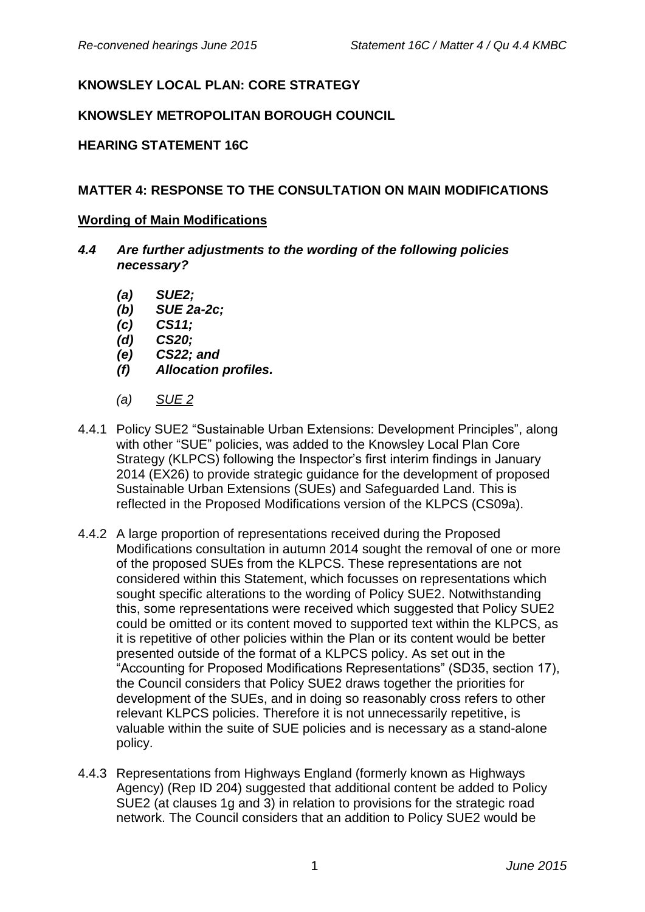# **KNOWSLEY LOCAL PLAN: CORE STRATEGY**

## **KNOWSLEY METROPOLITAN BOROUGH COUNCIL**

### **HEARING STATEMENT 16C**

### **MATTER 4: RESPONSE TO THE CONSULTATION ON MAIN MODIFICATIONS**

#### **Wording of Main Modifications**

- *4.4 Are further adjustments to the wording of the following policies necessary?*
	- *(a) SUE2;*
	- *(b) SUE 2a-2c;*
	- *(c) CS11;*
	- *(d) CS20;*
	- *(e) CS22; and*
	- *(f) Allocation profiles.*
	- *(a) SUE 2*
- 4.4.1 Policy SUE2 "Sustainable Urban Extensions: Development Principles", along with other "SUE" policies, was added to the Knowsley Local Plan Core Strategy (KLPCS) following the Inspector's first interim findings in January 2014 (EX26) to provide strategic guidance for the development of proposed Sustainable Urban Extensions (SUEs) and Safeguarded Land. This is reflected in the Proposed Modifications version of the KLPCS (CS09a).
- 4.4.2 A large proportion of representations received during the Proposed Modifications consultation in autumn 2014 sought the removal of one or more of the proposed SUEs from the KLPCS. These representations are not considered within this Statement, which focusses on representations which sought specific alterations to the wording of Policy SUE2. Notwithstanding this, some representations were received which suggested that Policy SUE2 could be omitted or its content moved to supported text within the KLPCS, as it is repetitive of other policies within the Plan or its content would be better presented outside of the format of a KLPCS policy. As set out in the "Accounting for Proposed Modifications Representations" (SD35, section 17), the Council considers that Policy SUE2 draws together the priorities for development of the SUEs, and in doing so reasonably cross refers to other relevant KLPCS policies. Therefore it is not unnecessarily repetitive, is valuable within the suite of SUE policies and is necessary as a stand-alone policy.
- 4.4.3 Representations from Highways England (formerly known as Highways Agency) (Rep ID 204) suggested that additional content be added to Policy SUE2 (at clauses 1g and 3) in relation to provisions for the strategic road network. The Council considers that an addition to Policy SUE2 would be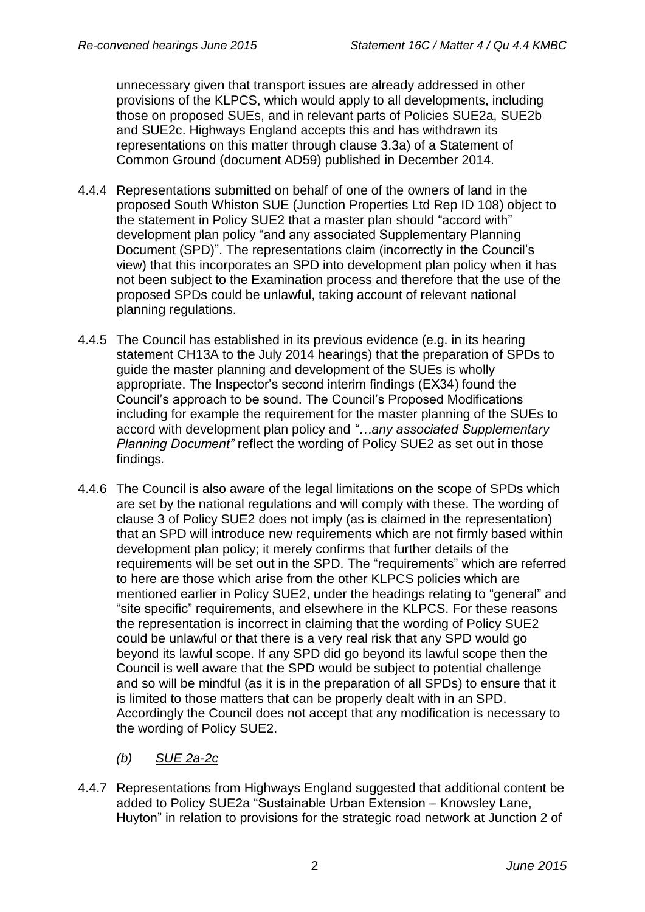unnecessary given that transport issues are already addressed in other provisions of the KLPCS, which would apply to all developments, including those on proposed SUEs, and in relevant parts of Policies SUE2a, SUE2b and SUE2c. Highways England accepts this and has withdrawn its representations on this matter through clause 3.3a) of a Statement of Common Ground (document AD59) published in December 2014.

- 4.4.4 Representations submitted on behalf of one of the owners of land in the proposed South Whiston SUE (Junction Properties Ltd Rep ID 108) object to the statement in Policy SUE2 that a master plan should "accord with" development plan policy "and any associated Supplementary Planning Document (SPD)". The representations claim (incorrectly in the Council's view) that this incorporates an SPD into development plan policy when it has not been subject to the Examination process and therefore that the use of the proposed SPDs could be unlawful, taking account of relevant national planning regulations.
- 4.4.5 The Council has established in its previous evidence (e.g. in its hearing statement CH13A to the July 2014 hearings) that the preparation of SPDs to guide the master planning and development of the SUEs is wholly appropriate. The Inspector's second interim findings (EX34) found the Council's approach to be sound. The Council's Proposed Modifications including for example the requirement for the master planning of the SUEs to accord with development plan policy and *"…any associated Supplementary Planning Document"* reflect the wording of Policy SUE2 as set out in those findings*.*
- 4.4.6 The Council is also aware of the legal limitations on the scope of SPDs which are set by the national regulations and will comply with these. The wording of clause 3 of Policy SUE2 does not imply (as is claimed in the representation) that an SPD will introduce new requirements which are not firmly based within development plan policy; it merely confirms that further details of the requirements will be set out in the SPD. The "requirements" which are referred to here are those which arise from the other KLPCS policies which are mentioned earlier in Policy SUE2, under the headings relating to "general" and "site specific" requirements, and elsewhere in the KLPCS. For these reasons the representation is incorrect in claiming that the wording of Policy SUE2 could be unlawful or that there is a very real risk that any SPD would go beyond its lawful scope. If any SPD did go beyond its lawful scope then the Council is well aware that the SPD would be subject to potential challenge and so will be mindful (as it is in the preparation of all SPDs) to ensure that it is limited to those matters that can be properly dealt with in an SPD. Accordingly the Council does not accept that any modification is necessary to the wording of Policy SUE2.
	- *(b) SUE 2a-2c*
- 4.4.7 Representations from Highways England suggested that additional content be added to Policy SUE2a "Sustainable Urban Extension – Knowsley Lane, Huyton" in relation to provisions for the strategic road network at Junction 2 of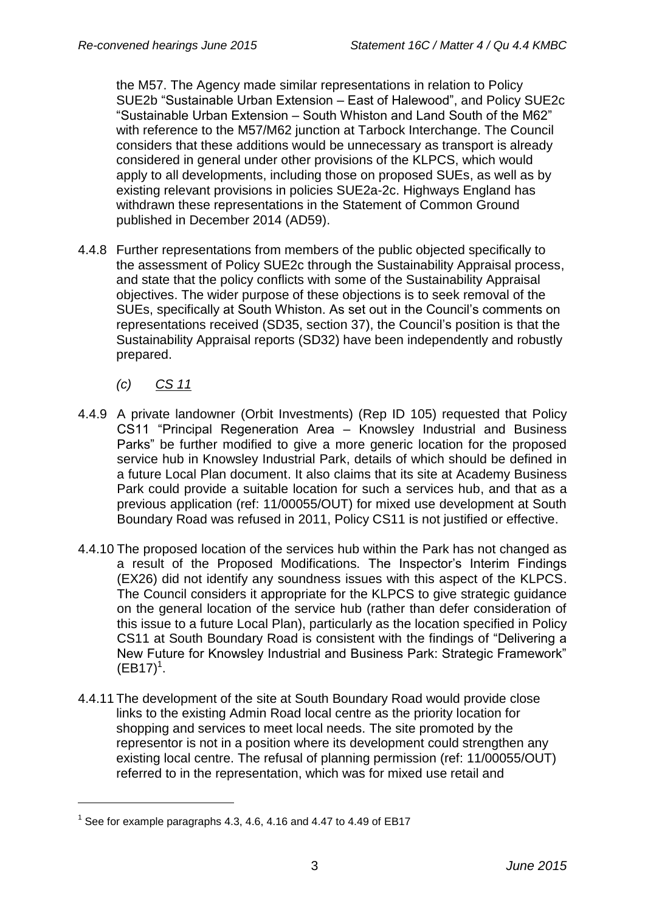the M57. The Agency made similar representations in relation to Policy SUE2b "Sustainable Urban Extension – East of Halewood", and Policy SUE2c "Sustainable Urban Extension – South Whiston and Land South of the M62" with reference to the M57/M62 junction at Tarbock Interchange. The Council considers that these additions would be unnecessary as transport is already considered in general under other provisions of the KLPCS, which would apply to all developments, including those on proposed SUEs, as well as by existing relevant provisions in policies SUE2a-2c. Highways England has withdrawn these representations in the Statement of Common Ground published in December 2014 (AD59).

- 4.4.8 Further representations from members of the public objected specifically to the assessment of Policy SUE2c through the Sustainability Appraisal process, and state that the policy conflicts with some of the Sustainability Appraisal objectives. The wider purpose of these objections is to seek removal of the SUEs, specifically at South Whiston. As set out in the Council's comments on representations received (SD35, section 37), the Council's position is that the Sustainability Appraisal reports (SD32) have been independently and robustly prepared.
	- *(c) CS 11*

1

- 4.4.9 A private landowner (Orbit Investments) (Rep ID 105) requested that Policy CS11 "Principal Regeneration Area – Knowsley Industrial and Business Parks" be further modified to give a more generic location for the proposed service hub in Knowsley Industrial Park, details of which should be defined in a future Local Plan document. It also claims that its site at Academy Business Park could provide a suitable location for such a services hub, and that as a previous application (ref: 11/00055/OUT) for mixed use development at South Boundary Road was refused in 2011, Policy CS11 is not justified or effective.
- 4.4.10 The proposed location of the services hub within the Park has not changed as a result of the Proposed Modifications. The Inspector's Interim Findings (EX26) did not identify any soundness issues with this aspect of the KLPCS. The Council considers it appropriate for the KLPCS to give strategic guidance on the general location of the service hub (rather than defer consideration of this issue to a future Local Plan), particularly as the location specified in Policy CS11 at South Boundary Road is consistent with the findings of "Delivering a New Future for Knowsley Industrial and Business Park: Strategic Framework"  $(EB17)^1$ .
- 4.4.11 The development of the site at South Boundary Road would provide close links to the existing Admin Road local centre as the priority location for shopping and services to meet local needs. The site promoted by the representor is not in a position where its development could strengthen any existing local centre. The refusal of planning permission (ref: 11/00055/OUT) referred to in the representation, which was for mixed use retail and

<sup>&</sup>lt;sup>1</sup> See for example paragraphs 4.3, 4.6, 4.16 and 4.47 to 4.49 of EB17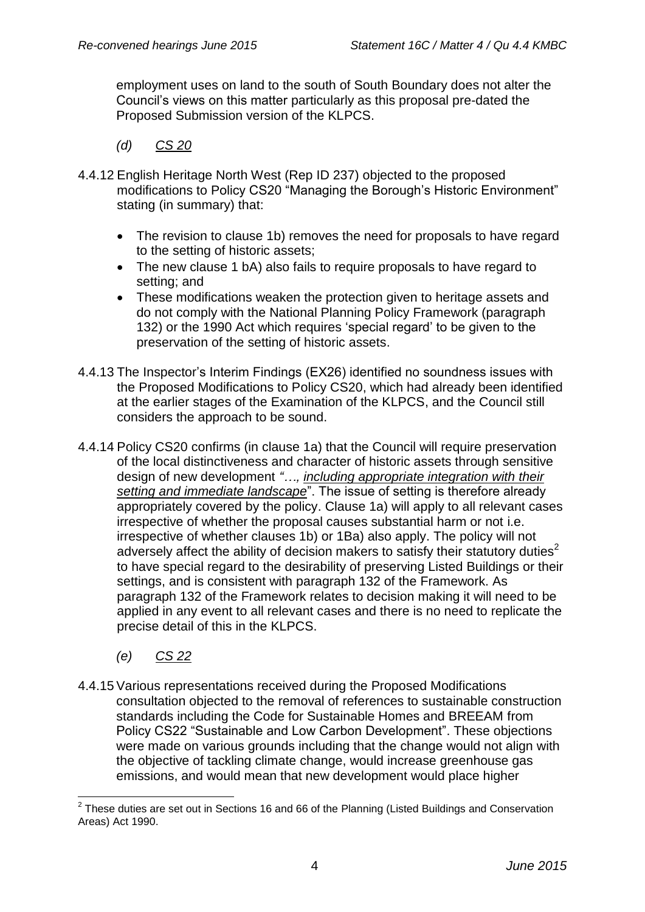employment uses on land to the south of South Boundary does not alter the Council's views on this matter particularly as this proposal pre-dated the Proposed Submission version of the KLPCS.

- *(d) CS 20*
- 4.4.12 English Heritage North West (Rep ID 237) objected to the proposed modifications to Policy CS20 "Managing the Borough's Historic Environment" stating (in summary) that:
	- The revision to clause 1b) removes the need for proposals to have regard to the setting of historic assets;
	- The new clause 1 bA) also fails to require proposals to have regard to setting; and
	- These modifications weaken the protection given to heritage assets and do not comply with the National Planning Policy Framework (paragraph 132) or the 1990 Act which requires 'special regard' to be given to the preservation of the setting of historic assets.
- 4.4.13 The Inspector's Interim Findings (EX26) identified no soundness issues with the Proposed Modifications to Policy CS20, which had already been identified at the earlier stages of the Examination of the KLPCS, and the Council still considers the approach to be sound.
- 4.4.14 Policy CS20 confirms (in clause 1a) that the Council will require preservation of the local distinctiveness and character of historic assets through sensitive design of new development *"…, including appropriate integration with their setting and immediate landscape*". The issue of setting is therefore already appropriately covered by the policy. Clause 1a) will apply to all relevant cases irrespective of whether the proposal causes substantial harm or not i.e. irrespective of whether clauses 1b) or 1Ba) also apply. The policy will not adversely affect the ability of decision makers to satisfy their statutory duties<sup>2</sup> to have special regard to the desirability of preserving Listed Buildings or their settings, and is consistent with paragraph 132 of the Framework. As paragraph 132 of the Framework relates to decision making it will need to be applied in any event to all relevant cases and there is no need to replicate the precise detail of this in the KLPCS.
	- *(e) CS 22*
- 4.4.15Various representations received during the Proposed Modifications consultation objected to the removal of references to sustainable construction standards including the Code for Sustainable Homes and BREEAM from Policy CS22 "Sustainable and Low Carbon Development". These objections were made on various grounds including that the change would not align with the objective of tackling climate change, would increase greenhouse gas emissions, and would mean that new development would place higher

 2 These duties are set out in Sections 16 and 66 of the Planning (Listed Buildings and Conservation Areas) Act 1990.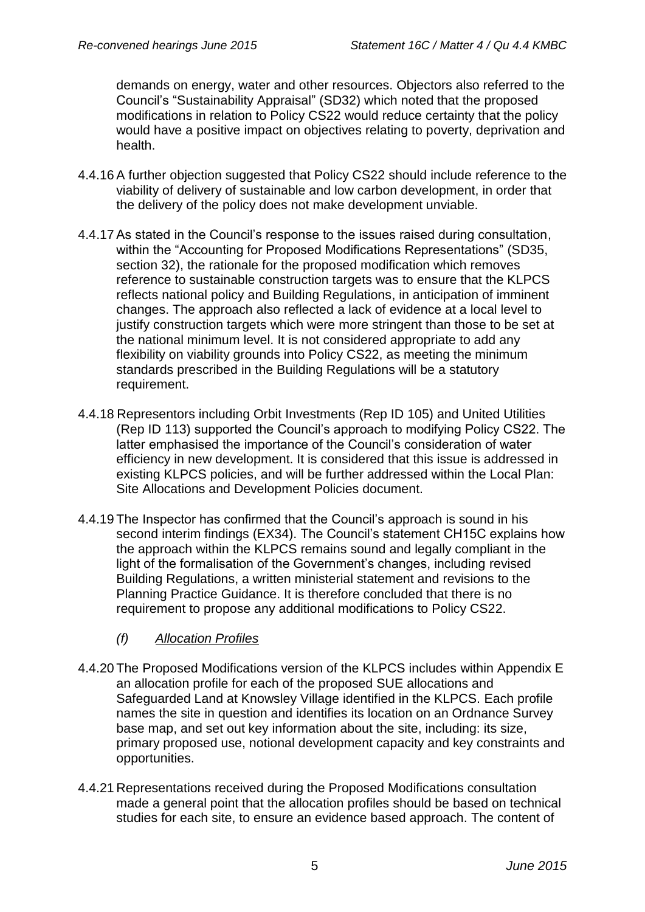demands on energy, water and other resources. Objectors also referred to the Council's "Sustainability Appraisal" (SD32) which noted that the proposed modifications in relation to Policy CS22 would reduce certainty that the policy would have a positive impact on objectives relating to poverty, deprivation and health.

- 4.4.16A further objection suggested that Policy CS22 should include reference to the viability of delivery of sustainable and low carbon development, in order that the delivery of the policy does not make development unviable.
- 4.4.17As stated in the Council's response to the issues raised during consultation, within the "Accounting for Proposed Modifications Representations" (SD35, section 32), the rationale for the proposed modification which removes reference to sustainable construction targets was to ensure that the KLPCS reflects national policy and Building Regulations, in anticipation of imminent changes. The approach also reflected a lack of evidence at a local level to justify construction targets which were more stringent than those to be set at the national minimum level. It is not considered appropriate to add any flexibility on viability grounds into Policy CS22, as meeting the minimum standards prescribed in the Building Regulations will be a statutory requirement.
- 4.4.18 Representors including Orbit Investments (Rep ID 105) and United Utilities (Rep ID 113) supported the Council's approach to modifying Policy CS22. The latter emphasised the importance of the Council's consideration of water efficiency in new development. It is considered that this issue is addressed in existing KLPCS policies, and will be further addressed within the Local Plan: Site Allocations and Development Policies document.
- 4.4.19 The Inspector has confirmed that the Council's approach is sound in his second interim findings (EX34). The Council's statement CH15C explains how the approach within the KLPCS remains sound and legally compliant in the light of the formalisation of the Government's changes, including revised Building Regulations, a written ministerial statement and revisions to the Planning Practice Guidance. It is therefore concluded that there is no requirement to propose any additional modifications to Policy CS22.
	- *(f) Allocation Profiles*
- 4.4.20 The Proposed Modifications version of the KLPCS includes within Appendix E an allocation profile for each of the proposed SUE allocations and Safeguarded Land at Knowsley Village identified in the KLPCS. Each profile names the site in question and identifies its location on an Ordnance Survey base map, and set out key information about the site, including: its size, primary proposed use, notional development capacity and key constraints and opportunities.
- 4.4.21 Representations received during the Proposed Modifications consultation made a general point that the allocation profiles should be based on technical studies for each site, to ensure an evidence based approach. The content of